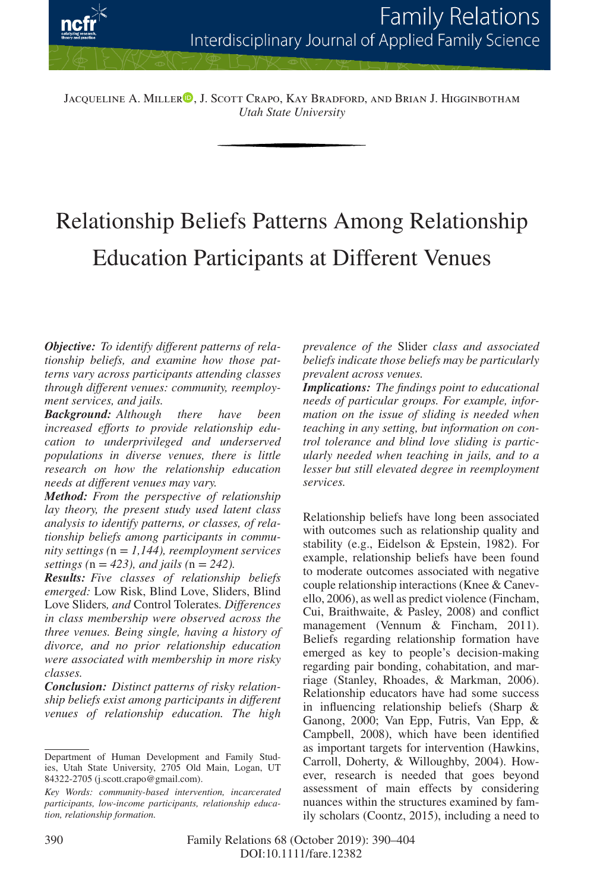

Jacqueline A. Miller<sup>o</sup>[,](https://orcid.org/0000-0003-0005-2882) J. Scott Crapo, Kay Bradford, and Brian J. Higginbotham *Utah State University*

# Relationship Beliefs Patterns Among Relationship Education Participants at Different Venues

*Objective: To identify different patterns of relationship beliefs, and examine how those patterns vary across participants attending classes through different venues: community, reemployment services, and jails.*

*Background: Although there have been increased efforts to provide relationship education to underprivileged and underserved populations in diverse venues, there is little research on how the relationship education needs at different venues may vary.*

*Method: From the perspective of relationship lay theory, the present study used latent class analysis to identify patterns, or classes, of relationship beliefs among participants in community settings (*n = *1,144), reemployment services settings (*n = *423), and jails (*n = *242).*

*Results: Five classes of relationship beliefs emerged:* Low Risk, Blind Love, Sliders, Blind Love Sliders*, and* Control Tolerates*. Differences in class membership were observed across the three venues. Being single, having a history of divorce, and no prior relationship education were associated with membership in more risky classes.*

*Conclusion: Distinct patterns of risky relationship beliefs exist among participants in different venues of relationship education. The high*

*prevalence of the* Slider *class and associated beliefs indicate those beliefs may be particularly prevalent across venues.*

*Implications: The findings point to educational needs of particular groups. For example, information on the issue of sliding is needed when teaching in any setting, but information on control tolerance and blind love sliding is particularly needed when teaching in jails, and to a lesser but still elevated degree in reemployment services.*

Relationship beliefs have long been associated with outcomes such as relationship quality and stability (e.g., Eidelson & Epstein, 1982). For example, relationship beliefs have been found to moderate outcomes associated with negative couple relationship interactions (Knee & Canevello, 2006), as well as predict violence (Fincham, Cui, Braithwaite, & Pasley, 2008) and conflict management (Vennum & Fincham, 2011). Beliefs regarding relationship formation have emerged as key to people's decision-making regarding pair bonding, cohabitation, and marriage (Stanley, Rhoades, & Markman, 2006). Relationship educators have had some success in influencing relationship beliefs (Sharp & Ganong, 2000; Van Epp, Futris, Van Epp, & Campbell, 2008), which have been identified as important targets for intervention (Hawkins, Carroll, Doherty, & Willoughby, 2004). However, research is needed that goes beyond assessment of main effects by considering nuances within the structures examined by family scholars (Coontz, 2015), including a need to

Department of Human Development and Family Studies, Utah State University, 2705 Old Main, Logan, UT 84322-2705 (j.scott.crapo@gmail.com).

*Key Words: community-based intervention, incarcerated participants, low-income participants, relationship education, relationship formation.*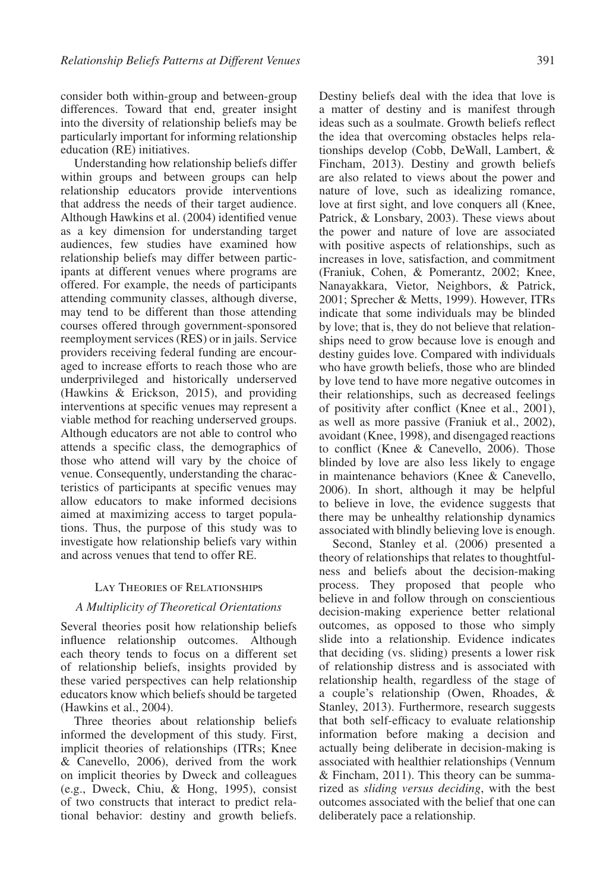consider both within-group and between-group differences. Toward that end, greater insight into the diversity of relationship beliefs may be particularly important for informing relationship education (RE) initiatives.

Understanding how relationship beliefs differ within groups and between groups can help relationship educators provide interventions that address the needs of their target audience. Although Hawkins et al. (2004) identified venue as a key dimension for understanding target audiences, few studies have examined how relationship beliefs may differ between participants at different venues where programs are offered. For example, the needs of participants attending community classes, although diverse, may tend to be different than those attending courses offered through government-sponsored reemployment services (RES) or in jails. Service providers receiving federal funding are encouraged to increase efforts to reach those who are underprivileged and historically underserved (Hawkins & Erickson, 2015), and providing interventions at specific venues may represent a viable method for reaching underserved groups. Although educators are not able to control who attends a specific class, the demographics of those who attend will vary by the choice of venue. Consequently, understanding the characteristics of participants at specific venues may allow educators to make informed decisions aimed at maximizing access to target populations. Thus, the purpose of this study was to investigate how relationship beliefs vary within and across venues that tend to offer RE.

# Lay Theories of Relationships

# *A Multiplicity of Theoretical Orientations*

Several theories posit how relationship beliefs influence relationship outcomes. Although each theory tends to focus on a different set of relationship beliefs, insights provided by these varied perspectives can help relationship educators know which beliefs should be targeted (Hawkins et al., 2004).

Three theories about relationship beliefs informed the development of this study. First, implicit theories of relationships (ITRs; Knee & Canevello, 2006), derived from the work on implicit theories by Dweck and colleagues (e.g., Dweck, Chiu, & Hong, 1995), consist of two constructs that interact to predict relational behavior: destiny and growth beliefs. Destiny beliefs deal with the idea that love is a matter of destiny and is manifest through ideas such as a soulmate. Growth beliefs reflect the idea that overcoming obstacles helps relationships develop (Cobb, DeWall, Lambert, & Fincham, 2013). Destiny and growth beliefs are also related to views about the power and nature of love, such as idealizing romance, love at first sight, and love conquers all (Knee, Patrick, & Lonsbary, 2003). These views about the power and nature of love are associated with positive aspects of relationships, such as increases in love, satisfaction, and commitment (Franiuk, Cohen, & Pomerantz, 2002; Knee, Nanayakkara, Vietor, Neighbors, & Patrick, 2001; Sprecher & Metts, 1999). However, ITRs indicate that some individuals may be blinded by love; that is, they do not believe that relationships need to grow because love is enough and destiny guides love. Compared with individuals who have growth beliefs, those who are blinded by love tend to have more negative outcomes in their relationships, such as decreased feelings of positivity after conflict (Knee et al., 2001), as well as more passive (Franiuk et al., 2002), avoidant (Knee, 1998), and disengaged reactions to conflict (Knee & Canevello, 2006). Those blinded by love are also less likely to engage in maintenance behaviors (Knee & Canevello, 2006). In short, although it may be helpful to believe in love, the evidence suggests that there may be unhealthy relationship dynamics associated with blindly believing love is enough.

Second, Stanley et al. (2006) presented a theory of relationships that relates to thoughtfulness and beliefs about the decision-making process. They proposed that people who believe in and follow through on conscientious decision-making experience better relational outcomes, as opposed to those who simply slide into a relationship. Evidence indicates that deciding (vs. sliding) presents a lower risk of relationship distress and is associated with relationship health, regardless of the stage of a couple's relationship (Owen, Rhoades, & Stanley, 2013). Furthermore, research suggests that both self-efficacy to evaluate relationship information before making a decision and actually being deliberate in decision-making is associated with healthier relationships (Vennum & Fincham, 2011). This theory can be summarized as *sliding versus deciding*, with the best outcomes associated with the belief that one can deliberately pace a relationship.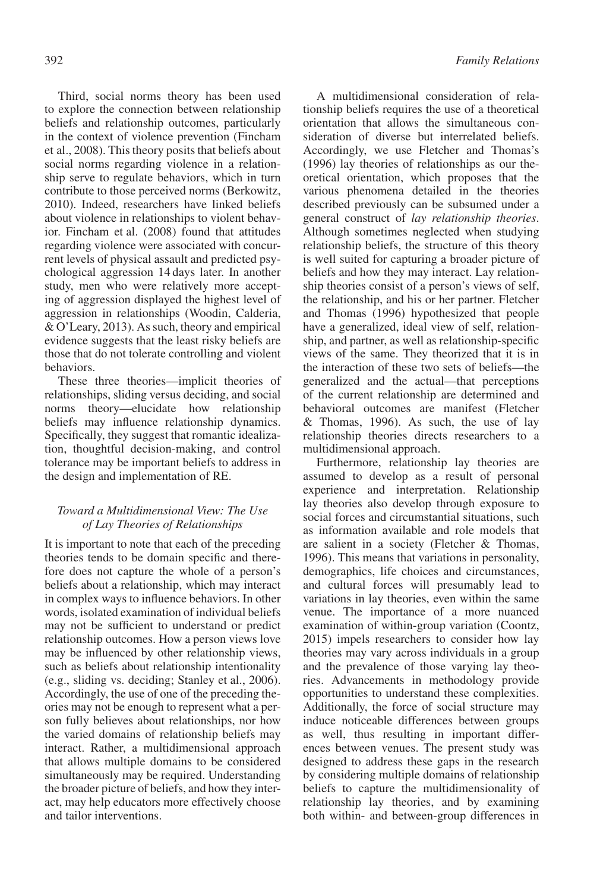Third, social norms theory has been used to explore the connection between relationship beliefs and relationship outcomes, particularly in the context of violence prevention (Fincham et al., 2008). This theory posits that beliefs about social norms regarding violence in a relationship serve to regulate behaviors, which in turn contribute to those perceived norms (Berkowitz, 2010). Indeed, researchers have linked beliefs about violence in relationships to violent behavior. Fincham et al. (2008) found that attitudes regarding violence were associated with concurrent levels of physical assault and predicted psychological aggression 14 days later. In another study, men who were relatively more accepting of aggression displayed the highest level of aggression in relationships (Woodin, Calderia, & O'Leary, 2013). As such, theory and empirical evidence suggests that the least risky beliefs are those that do not tolerate controlling and violent behaviors.

These three theories—implicit theories of relationships, sliding versus deciding, and social norms theory—elucidate how relationship beliefs may influence relationship dynamics. Specifically, they suggest that romantic idealization, thoughtful decision-making, and control tolerance may be important beliefs to address in the design and implementation of RE.

# *Toward a Multidimensional View: The Use of Lay Theories of Relationships*

It is important to note that each of the preceding theories tends to be domain specific and therefore does not capture the whole of a person's beliefs about a relationship, which may interact in complex ways to influence behaviors. In other words, isolated examination of individual beliefs may not be sufficient to understand or predict relationship outcomes. How a person views love may be influenced by other relationship views, such as beliefs about relationship intentionality (e.g., sliding vs. deciding; Stanley et al., 2006). Accordingly, the use of one of the preceding theories may not be enough to represent what a person fully believes about relationships, nor how the varied domains of relationship beliefs may interact. Rather, a multidimensional approach that allows multiple domains to be considered simultaneously may be required. Understanding the broader picture of beliefs, and how they interact, may help educators more effectively choose and tailor interventions.

A multidimensional consideration of relationship beliefs requires the use of a theoretical orientation that allows the simultaneous consideration of diverse but interrelated beliefs. Accordingly, we use Fletcher and Thomas's (1996) lay theories of relationships as our theoretical orientation, which proposes that the various phenomena detailed in the theories described previously can be subsumed under a general construct of *lay relationship theories*. Although sometimes neglected when studying relationship beliefs, the structure of this theory is well suited for capturing a broader picture of beliefs and how they may interact. Lay relationship theories consist of a person's views of self, the relationship, and his or her partner. Fletcher and Thomas (1996) hypothesized that people have a generalized, ideal view of self, relationship, and partner, as well as relationship-specific views of the same. They theorized that it is in the interaction of these two sets of beliefs—the generalized and the actual—that perceptions of the current relationship are determined and behavioral outcomes are manifest (Fletcher & Thomas, 1996). As such, the use of lay relationship theories directs researchers to a multidimensional approach.

Furthermore, relationship lay theories are assumed to develop as a result of personal experience and interpretation. Relationship lay theories also develop through exposure to social forces and circumstantial situations, such as information available and role models that are salient in a society (Fletcher & Thomas, 1996). This means that variations in personality, demographics, life choices and circumstances, and cultural forces will presumably lead to variations in lay theories, even within the same venue. The importance of a more nuanced examination of within-group variation (Coontz, 2015) impels researchers to consider how lay theories may vary across individuals in a group and the prevalence of those varying lay theories. Advancements in methodology provide opportunities to understand these complexities. Additionally, the force of social structure may induce noticeable differences between groups as well, thus resulting in important differences between venues. The present study was designed to address these gaps in the research by considering multiple domains of relationship beliefs to capture the multidimensionality of relationship lay theories, and by examining both within- and between-group differences in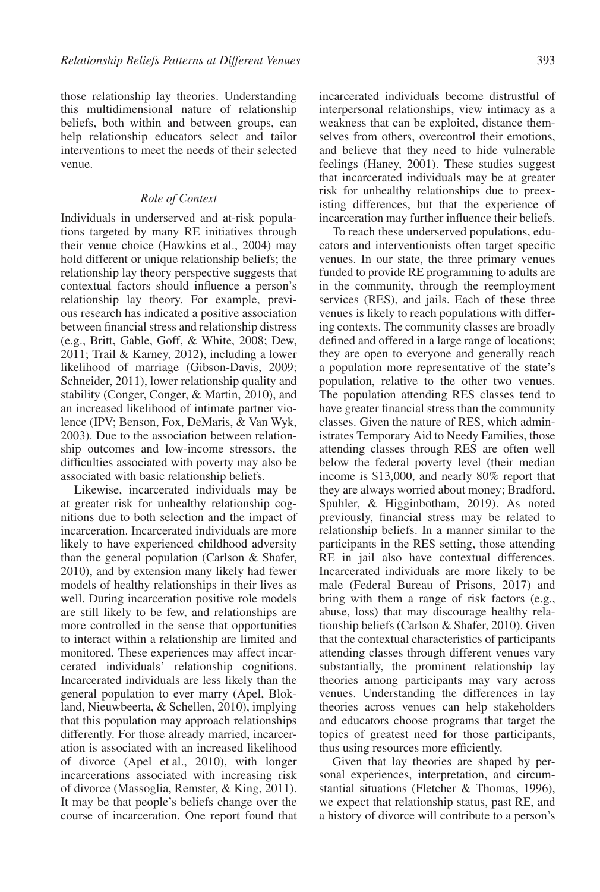those relationship lay theories. Understanding this multidimensional nature of relationship beliefs, both within and between groups, can help relationship educators select and tailor interventions to meet the needs of their selected venue.

# *Role of Context*

Individuals in underserved and at-risk populations targeted by many RE initiatives through their venue choice (Hawkins et al., 2004) may hold different or unique relationship beliefs; the relationship lay theory perspective suggests that contextual factors should influence a person's relationship lay theory. For example, previous research has indicated a positive association between financial stress and relationship distress (e.g., Britt, Gable, Goff, & White, 2008; Dew, 2011; Trail & Karney, 2012), including a lower likelihood of marriage (Gibson-Davis, 2009; Schneider, 2011), lower relationship quality and stability (Conger, Conger, & Martin, 2010), and an increased likelihood of intimate partner violence (IPV; Benson, Fox, DeMaris, & Van Wyk, 2003). Due to the association between relationship outcomes and low-income stressors, the difficulties associated with poverty may also be associated with basic relationship beliefs.

Likewise, incarcerated individuals may be at greater risk for unhealthy relationship cognitions due to both selection and the impact of incarceration. Incarcerated individuals are more likely to have experienced childhood adversity than the general population (Carlson & Shafer, 2010), and by extension many likely had fewer models of healthy relationships in their lives as well. During incarceration positive role models are still likely to be few, and relationships are more controlled in the sense that opportunities to interact within a relationship are limited and monitored. These experiences may affect incarcerated individuals' relationship cognitions. Incarcerated individuals are less likely than the general population to ever marry (Apel, Blokland, Nieuwbeerta, & Schellen, 2010), implying that this population may approach relationships differently. For those already married, incarceration is associated with an increased likelihood of divorce (Apel et al., 2010), with longer incarcerations associated with increasing risk of divorce (Massoglia, Remster, & King, 2011). It may be that people's beliefs change over the course of incarceration. One report found that

incarcerated individuals become distrustful of interpersonal relationships, view intimacy as a weakness that can be exploited, distance themselves from others, overcontrol their emotions, and believe that they need to hide vulnerable feelings (Haney, 2001). These studies suggest that incarcerated individuals may be at greater risk for unhealthy relationships due to preexisting differences, but that the experience of incarceration may further influence their beliefs.

To reach these underserved populations, educators and interventionists often target specific venues. In our state, the three primary venues funded to provide RE programming to adults are in the community, through the reemployment services (RES), and jails. Each of these three venues is likely to reach populations with differing contexts. The community classes are broadly defined and offered in a large range of locations; they are open to everyone and generally reach a population more representative of the state's population, relative to the other two venues. The population attending RES classes tend to have greater financial stress than the community classes. Given the nature of RES, which administrates Temporary Aid to Needy Families, those attending classes through RES are often well below the federal poverty level (their median income is \$13,000, and nearly 80% report that they are always worried about money; Bradford, Spuhler, & Higginbotham, 2019). As noted previously, financial stress may be related to relationship beliefs. In a manner similar to the participants in the RES setting, those attending RE in jail also have contextual differences. Incarcerated individuals are more likely to be male (Federal Bureau of Prisons, 2017) and bring with them a range of risk factors (e.g., abuse, loss) that may discourage healthy relationship beliefs (Carlson & Shafer, 2010). Given that the contextual characteristics of participants attending classes through different venues vary substantially, the prominent relationship lay theories among participants may vary across venues. Understanding the differences in lay theories across venues can help stakeholders and educators choose programs that target the topics of greatest need for those participants, thus using resources more efficiently.

Given that lay theories are shaped by personal experiences, interpretation, and circumstantial situations (Fletcher & Thomas, 1996), we expect that relationship status, past RE, and a history of divorce will contribute to a person's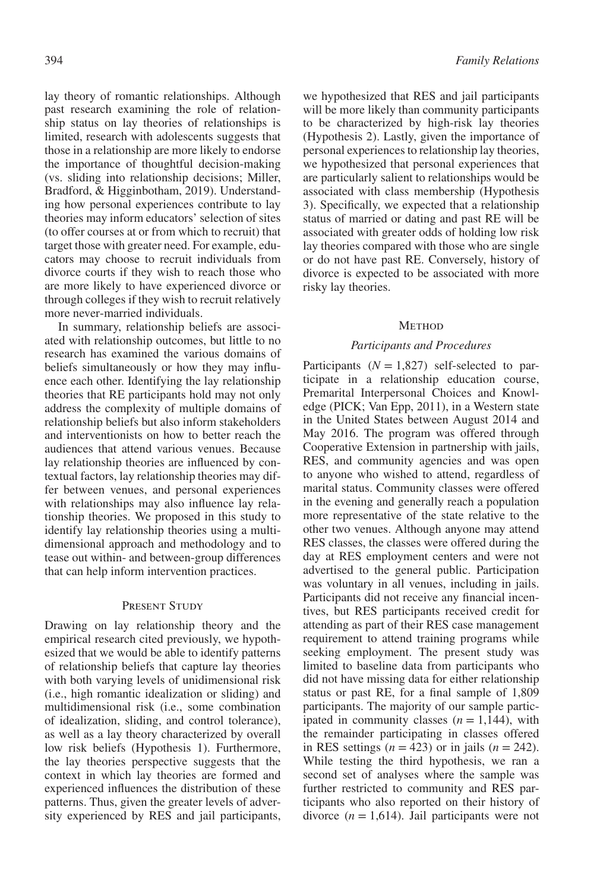lay theory of romantic relationships. Although past research examining the role of relationship status on lay theories of relationships is limited, research with adolescents suggests that those in a relationship are more likely to endorse the importance of thoughtful decision-making (vs. sliding into relationship decisions; Miller, Bradford, & Higginbotham, 2019). Understanding how personal experiences contribute to lay theories may inform educators' selection of sites (to offer courses at or from which to recruit) that target those with greater need. For example, educators may choose to recruit individuals from divorce courts if they wish to reach those who are more likely to have experienced divorce or through colleges if they wish to recruit relatively more never-married individuals.

In summary, relationship beliefs are associated with relationship outcomes, but little to no research has examined the various domains of beliefs simultaneously or how they may influence each other. Identifying the lay relationship theories that RE participants hold may not only address the complexity of multiple domains of relationship beliefs but also inform stakeholders and interventionists on how to better reach the audiences that attend various venues. Because lay relationship theories are influenced by contextual factors, lay relationship theories may differ between venues, and personal experiences with relationships may also influence lay relationship theories. We proposed in this study to identify lay relationship theories using a multidimensional approach and methodology and to tease out within- and between-group differences that can help inform intervention practices.

## PRESENT STUDY

Drawing on lay relationship theory and the empirical research cited previously, we hypothesized that we would be able to identify patterns of relationship beliefs that capture lay theories with both varying levels of unidimensional risk (i.e., high romantic idealization or sliding) and multidimensional risk (i.e., some combination of idealization, sliding, and control tolerance), as well as a lay theory characterized by overall low risk beliefs (Hypothesis 1). Furthermore, the lay theories perspective suggests that the context in which lay theories are formed and experienced influences the distribution of these patterns. Thus, given the greater levels of adversity experienced by RES and jail participants, we hypothesized that RES and jail participants will be more likely than community participants to be characterized by high-risk lay theories (Hypothesis 2). Lastly, given the importance of personal experiences to relationship lay theories, we hypothesized that personal experiences that are particularly salient to relationships would be associated with class membership (Hypothesis 3). Specifically, we expected that a relationship status of married or dating and past RE will be associated with greater odds of holding low risk lay theories compared with those who are single or do not have past RE. Conversely, history of divorce is expected to be associated with more risky lay theories.

#### **METHOD**

#### *Participants and Procedures*

Participants  $(N = 1,827)$  self-selected to participate in a relationship education course, Premarital Interpersonal Choices and Knowledge (PICK; Van Epp, 2011), in a Western state in the United States between August 2014 and May 2016. The program was offered through Cooperative Extension in partnership with jails, RES, and community agencies and was open to anyone who wished to attend, regardless of marital status. Community classes were offered in the evening and generally reach a population more representative of the state relative to the other two venues. Although anyone may attend RES classes, the classes were offered during the day at RES employment centers and were not advertised to the general public. Participation was voluntary in all venues, including in jails. Participants did not receive any financial incentives, but RES participants received credit for attending as part of their RES case management requirement to attend training programs while seeking employment. The present study was limited to baseline data from participants who did not have missing data for either relationship status or past RE, for a final sample of 1,809 participants. The majority of our sample participated in community classes  $(n = 1,144)$ , with the remainder participating in classes offered in RES settings  $(n = 423)$  or in jails  $(n = 242)$ . While testing the third hypothesis, we ran a second set of analyses where the sample was further restricted to community and RES participants who also reported on their history of divorce  $(n = 1,614)$ . Jail participants were not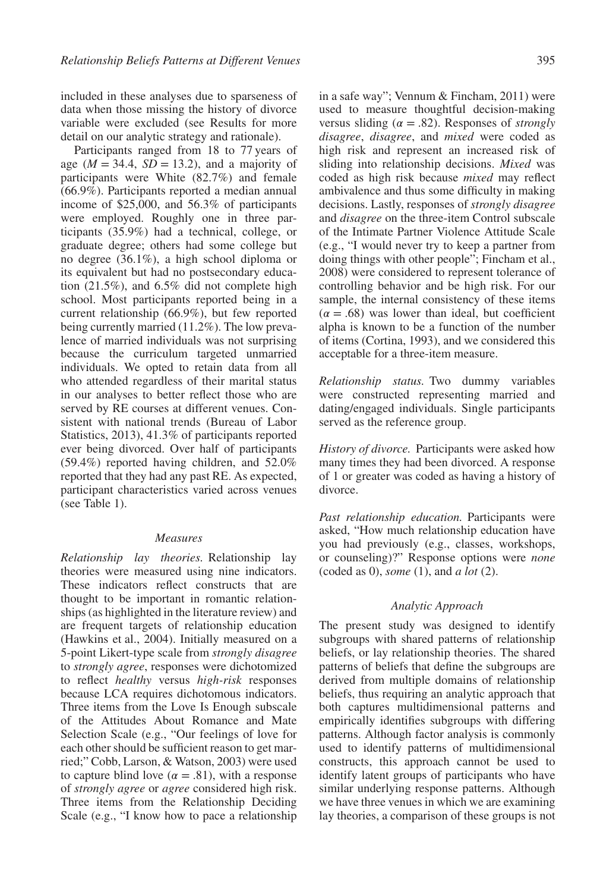included in these analyses due to sparseness of data when those missing the history of divorce variable were excluded (see Results for more detail on our analytic strategy and rationale).

Participants ranged from 18 to 77 years of age  $(M = 34.4, SD = 13.2)$ , and a majority of participants were White (82.7%) and female (66.9%). Participants reported a median annual income of \$25,000, and 56.3% of participants were employed. Roughly one in three participants (35.9%) had a technical, college, or graduate degree; others had some college but no degree (36.1%), a high school diploma or its equivalent but had no postsecondary education (21.5%), and 6.5% did not complete high school. Most participants reported being in a current relationship (66.9%), but few reported being currently married (11.2%). The low prevalence of married individuals was not surprising because the curriculum targeted unmarried individuals. We opted to retain data from all who attended regardless of their marital status in our analyses to better reflect those who are served by RE courses at different venues. Consistent with national trends (Bureau of Labor Statistics, 2013), 41.3% of participants reported ever being divorced. Over half of participants (59.4%) reported having children, and 52.0% reported that they had any past RE. As expected, participant characteristics varied across venues (see Table 1).

#### *Measures*

*Relationship lay theories.* Relationship lay theories were measured using nine indicators. These indicators reflect constructs that are thought to be important in romantic relationships (as highlighted in the literature review) and are frequent targets of relationship education (Hawkins et al., 2004). Initially measured on a 5-point Likert-type scale from *strongly disagree* to *strongly agree*, responses were dichotomized to reflect *healthy* versus *high-risk* responses because LCA requires dichotomous indicators. Three items from the Love Is Enough subscale of the Attitudes About Romance and Mate Selection Scale (e.g., "Our feelings of love for each other should be sufficient reason to get married;" Cobb, Larson, & Watson, 2003) were used to capture blind love ( $\alpha = .81$ ), with a response of *strongly agree* or *agree* considered high risk. Three items from the Relationship Deciding Scale (e.g., "I know how to pace a relationship

in a safe way"; Vennum & Fincham, 2011) were used to measure thoughtful decision-making versus sliding ( $\alpha = .82$ ). Responses of *strongly disagree*, *disagree*, and *mixed* were coded as high risk and represent an increased risk of sliding into relationship decisions. *Mixed* was coded as high risk because *mixed* may reflect ambivalence and thus some difficulty in making decisions. Lastly, responses of *strongly disagree* and *disagree* on the three-item Control subscale of the Intimate Partner Violence Attitude Scale (e.g., "I would never try to keep a partner from doing things with other people"; Fincham et al., 2008) were considered to represent tolerance of controlling behavior and be high risk. For our sample, the internal consistency of these items  $(\alpha = .68)$  was lower than ideal, but coefficient alpha is known to be a function of the number of items (Cortina, 1993), and we considered this acceptable for a three-item measure.

*Relationship status.* Two dummy variables were constructed representing married and dating/engaged individuals. Single participants served as the reference group.

*History of divorce.* Participants were asked how many times they had been divorced. A response of 1 or greater was coded as having a history of divorce.

*Past relationship education.* Participants were asked, "How much relationship education have you had previously (e.g., classes, workshops, or counseling)?" Response options were *none* (coded as 0), *some* (1), and *a lot* (2).

#### *Analytic Approach*

The present study was designed to identify subgroups with shared patterns of relationship beliefs, or lay relationship theories. The shared patterns of beliefs that define the subgroups are derived from multiple domains of relationship beliefs, thus requiring an analytic approach that both captures multidimensional patterns and empirically identifies subgroups with differing patterns. Although factor analysis is commonly used to identify patterns of multidimensional constructs, this approach cannot be used to identify latent groups of participants who have similar underlying response patterns. Although we have three venues in which we are examining lay theories, a comparison of these groups is not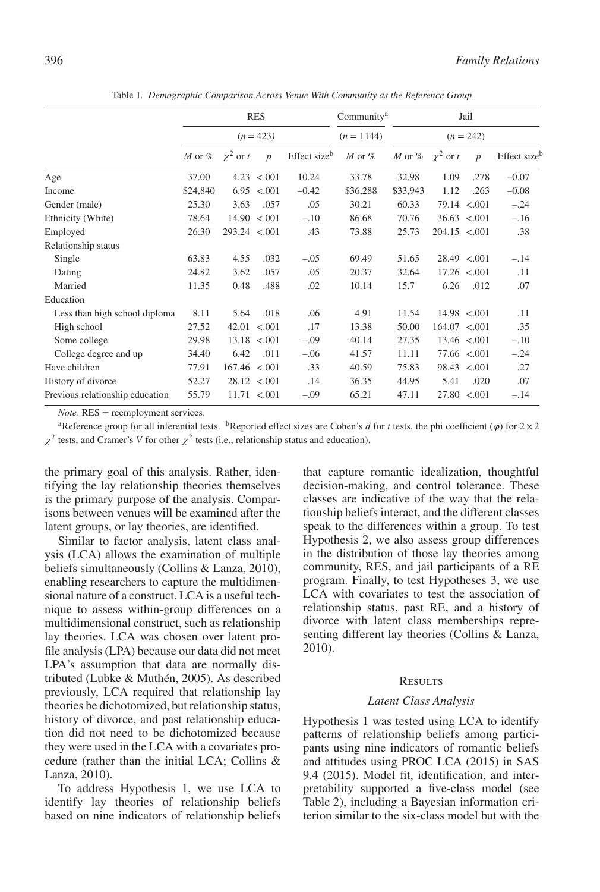|                                 |                                |                | <b>RES</b>        |              | Community <sup>a</sup> | Jail<br>$(n = 242)$  |               |                   |                          |
|---------------------------------|--------------------------------|----------------|-------------------|--------------|------------------------|----------------------|---------------|-------------------|--------------------------|
|                                 |                                |                | $(n = 423)$       |              | $(n = 1144)$           |                      |               |                   |                          |
|                                 | <i>M</i> or $\%$ $\chi^2$ or t |                | $\boldsymbol{p}$  | Effect sizeb | $M$ or $%$             | M or % $\chi^2$ or t |               | $\boldsymbol{p}$  | Effect size <sup>b</sup> |
| Age                             | 37.00                          |                | $4.23$ < 001      | 10.24        | 33.78                  | 32.98                | 1.09          | .278              | $-0.07$                  |
| Income                          | \$24,840                       |                | 6.95 < 0.01       | $-0.42$      | \$36,288               | \$33,943             | 1.12          | .263              | $-0.08$                  |
| Gender (male)                   | 25.30                          | 3.63           | .057              | .05          | 30.21                  | 60.33                |               | 79.14 < 0.001     | $-.24$                   |
| Ethnicity (White)               | 78.64                          |                | $14.90 \le 0.001$ | $-.10$       | 86.68                  | 70.76                |               | 36.63 < 0.001     | $-.16$                   |
| Employed                        | 26.30                          | 293.24 < 0.001 |                   | .43          | 73.88                  | 25.73                | 204.15 < 001  |                   | .38                      |
| Relationship status             |                                |                |                   |              |                        |                      |               |                   |                          |
| Single                          | 63.83                          | 4.55           | .032              | $-.05$       | 69.49                  | 51.65                |               | 28.49 < 0.001     | $-.14$                   |
| Dating                          | 24.82                          | 3.62           | .057              | .05          | 20.37                  | 32.64                |               | $17.26$ < 001     | .11                      |
| Married                         | 11.35                          | 0.48           | .488              | .02          | 10.14                  | 15.7                 | 6.26          | .012              | .07                      |
| Education                       |                                |                |                   |              |                        |                      |               |                   |                          |
| Less than high school diploma   | 8.11                           | 5.64           | .018              | .06          | 4.91                   | 11.54                |               | 14.98 < 0.001     | .11                      |
| High school                     | 27.52                          |                | $42.01 \le 0.001$ | .17          | 13.38                  | 50.00                | 164.07 < .001 |                   | .35                      |
| Some college                    | 29.98                          |                | $13.18$ < 001     | $-.09$       | 40.14                  | 27.35                |               | $13.46 \le 0.001$ | $-.10$                   |
| College degree and up           | 34.40                          | 6.42           | .011              | $-.06$       | 41.57                  | 11.11                |               | 77.66 < 0.001     | $-.24$                   |
| Have children                   | 77.91                          | 167.46 < .001  |                   | .33          | 40.59                  | 75.83                |               | 98.43 < 0.001     | .27                      |
| History of divorce              | 52.27                          |                | $28.12 \le 0.001$ | .14          | 36.35                  | 44.95                | 5.41          | .020              | .07                      |
| Previous relationship education | 55.79                          |                | $11.71 \le 0.001$ | $-.09$       | 65.21                  | 47.11                |               | $27.80 \le 0.001$ | $-.14$                   |

Table 1*. Demographic Comparison Across Venue With Community as the Reference Group*

*Note*. RES = reemployment services.

<sup>a</sup>Reference group for all inferential tests. <sup>b</sup>Reported effect sizes are Cohen's *d* for *t* tests, the phi coefficient ( $\varphi$ ) for  $2 \times 2$  $\chi^2$  tests, and Cramer's *V* for other  $\chi^2$  tests (i.e., relationship status and education).

the primary goal of this analysis. Rather, identifying the lay relationship theories themselves is the primary purpose of the analysis. Comparisons between venues will be examined after the latent groups, or lay theories, are identified.

Similar to factor analysis, latent class analysis (LCA) allows the examination of multiple beliefs simultaneously (Collins & Lanza, 2010), enabling researchers to capture the multidimensional nature of a construct. LCA is a useful technique to assess within-group differences on a multidimensional construct, such as relationship lay theories. LCA was chosen over latent profile analysis (LPA) because our data did not meet LPA's assumption that data are normally distributed (Lubke & Muthén, 2005). As described previously, LCA required that relationship lay theories be dichotomized, but relationship status, history of divorce, and past relationship education did not need to be dichotomized because they were used in the LCA with a covariates procedure (rather than the initial LCA; Collins & Lanza, 2010).

To address Hypothesis 1, we use LCA to identify lay theories of relationship beliefs based on nine indicators of relationship beliefs that capture romantic idealization, thoughtful decision-making, and control tolerance. These classes are indicative of the way that the relationship beliefs interact, and the different classes speak to the differences within a group. To test Hypothesis 2, we also assess group differences in the distribution of those lay theories among community, RES, and jail participants of a RE program. Finally, to test Hypotheses 3, we use LCA with covariates to test the association of relationship status, past RE, and a history of divorce with latent class memberships representing different lay theories (Collins & Lanza, 2010).

## **RESULTS**

#### *Latent Class Analysis*

Hypothesis 1 was tested using LCA to identify patterns of relationship beliefs among participants using nine indicators of romantic beliefs and attitudes using PROC LCA (2015) in SAS 9.4 (2015). Model fit, identification, and interpretability supported a five-class model (see Table 2), including a Bayesian information criterion similar to the six-class model but with the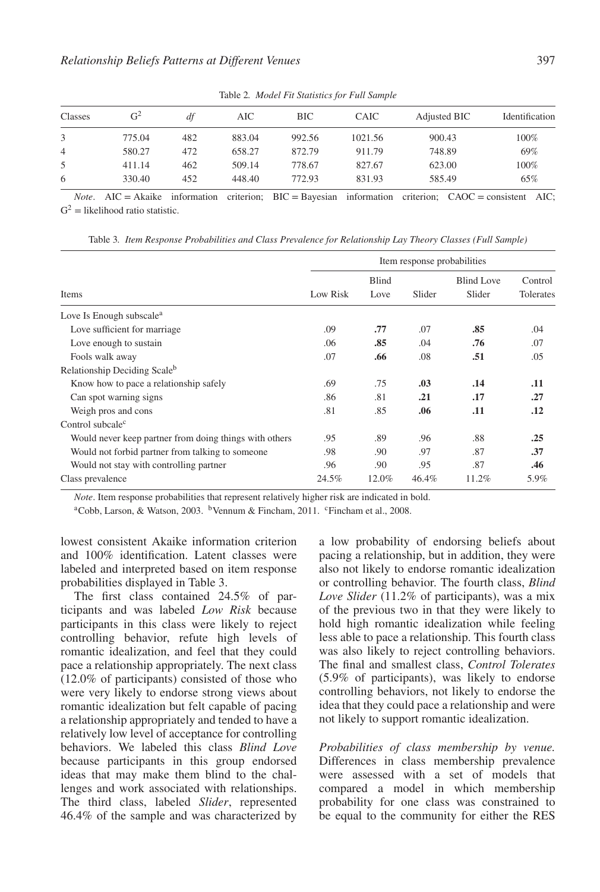| Classes        | $G^2$  | df  | AIC    | <b>BIC</b> | CAIC    | Adjusted BIC | Identification |  |
|----------------|--------|-----|--------|------------|---------|--------------|----------------|--|
|                |        |     |        |            |         |              |                |  |
|                | 775.04 | 482 | 883.04 | 992.56     | 1021.56 | 900.43       | 100%           |  |
| $\overline{4}$ | 580.27 | 472 | 658.27 | 872.79     | 911.79  | 748.89       | 69%            |  |
| 5              | 411.14 | 462 | 509.14 | 778.67     | 827.67  | 623.00       | 100%           |  |
| 6              | 330.40 | 452 | 448.40 | 772.93     | 831.93  | 585.49       | 65%            |  |

Table 2*. Model Fit Statistics for Full Sample*

*Note*. AIC = Akaike information criterion; BIC = Bayesian information criterion; CAOC = consistent AIC;  $G<sup>2</sup>$  = likelihood ratio statistic.

Item response probabilities Items Low Risk Blind Love Slider Blind Love Slider Control Tolerates Love Is Enough subscale<sup>a</sup> Love sufficient for marriage .09 **.77** .07 **.85** .04 Love enough to sustain .06 **.85** .04 **.76** .07 Fools walk away .07 **.66** .08 **.51** .05 Relationship Deciding Scaleb Know how to pace a relationship safely .69 .75 **.03 .14 .11** Can spot warning signs .86 .81 **.21 .17 .27** Weigh pros and cons .81 .85 .06 .11 .12 Control subcale<sup>c</sup> Would never keep partner from doing things with others .89 .89 .88 .25 Would not forbid partner from talking to someone .98 .90 .97 .87 .37 Would not stay with controlling partner .96 .90 .95 .87 **.46** Class prevalence 24.5% 12.0% 46.4% 11.2% 5.9%

Table 3*. Item Response Probabilities and Class Prevalence for Relationship Lay Theory Classes (Full Sample)*

*Note*. Item response probabilities that represent relatively higher risk are indicated in bold.

<sup>a</sup>Cobb, Larson, & Watson, 2003. <sup>b</sup>Vennum & Fincham, 2011. <sup>c</sup>Fincham et al., 2008.

lowest consistent Akaike information criterion and 100% identification. Latent classes were labeled and interpreted based on item response probabilities displayed in Table 3.

The first class contained 24.5% of participants and was labeled *Low Risk* because participants in this class were likely to reject controlling behavior, refute high levels of romantic idealization, and feel that they could pace a relationship appropriately. The next class (12.0% of participants) consisted of those who were very likely to endorse strong views about romantic idealization but felt capable of pacing a relationship appropriately and tended to have a relatively low level of acceptance for controlling behaviors. We labeled this class *Blind Love* because participants in this group endorsed ideas that may make them blind to the challenges and work associated with relationships. The third class, labeled *Slider*, represented 46.4% of the sample and was characterized by

a low probability of endorsing beliefs about pacing a relationship, but in addition, they were also not likely to endorse romantic idealization or controlling behavior. The fourth class, *Blind Love Slider* (11.2% of participants), was a mix of the previous two in that they were likely to hold high romantic idealization while feeling less able to pace a relationship. This fourth class was also likely to reject controlling behaviors. The final and smallest class, *Control Tolerates* (5.9% of participants), was likely to endorse controlling behaviors, not likely to endorse the idea that they could pace a relationship and were not likely to support romantic idealization.

*Probabilities of class membership by venue.* Differences in class membership prevalence were assessed with a set of models that compared a model in which membership probability for one class was constrained to be equal to the community for either the RES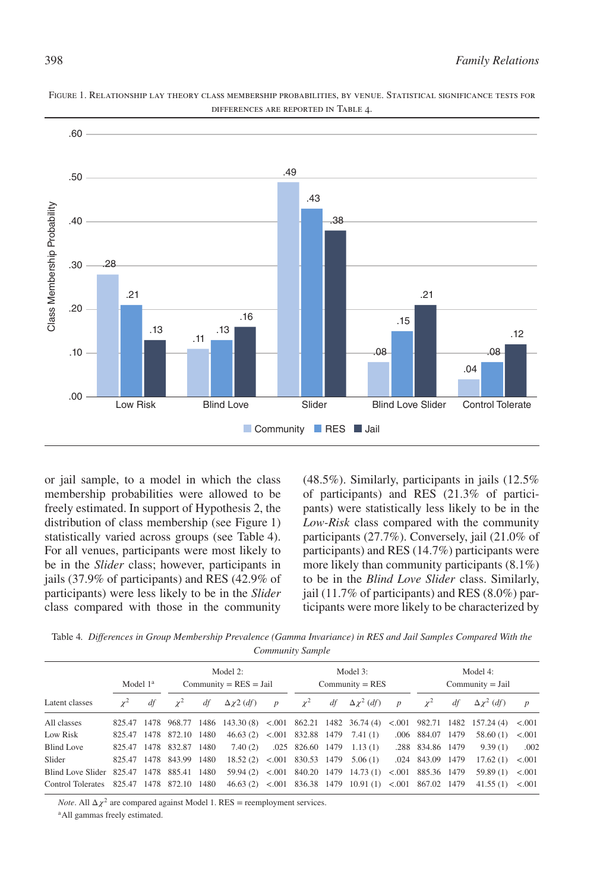

FIGURE 1. Relationship lay theory class membership probabilities, by venue. Statistical significance tests for differences are reported in Table 4.

or jail sample, to a model in which the class membership probabilities were allowed to be freely estimated. In support of Hypothesis 2, the distribution of class membership (see Figure 1) statistically varied across groups (see Table 4). For all venues, participants were most likely to be in the *Slider* class; however, participants in jails (37.9% of participants) and RES (42.9% of participants) were less likely to be in the *Slider* class compared with those in the community (48.5%). Similarly, participants in jails (12.5% of participants) and RES (21.3% of participants) were statistically less likely to be in the *Low-Risk* class compared with the community participants (27.7%). Conversely, jail (21.0% of participants) and RES (14.7%) participants were more likely than community participants (8.1%) to be in the *Blind Love Slider* class. Similarly, jail (11.7% of participants) and RES (8.0%) participants were more likely to be characterized by

Table 4*. Differences in Group Membership Prevalence (Gamma Invariance) in RES and Jail Samples Compared With the Community Sample*

|                                           | Model $1a$ |      |                         | Model $2$ :<br>$Commuty = RES = Jail$ |                                                                |                  | Model 3:<br>$Commuty = RES$ |  |                                                         |                  | Model 4:<br>$Commuty = Jail$ |    |                      |                  |
|-------------------------------------------|------------|------|-------------------------|---------------------------------------|----------------------------------------------------------------|------------------|-----------------------------|--|---------------------------------------------------------|------------------|------------------------------|----|----------------------|------------------|
| Latent classes                            | $\gamma^2$ | df   | $\gamma^2$              | df                                    | $\Delta \chi^2$ (df)                                           | $\boldsymbol{p}$ | $\chi^2$                    |  | $df \Delta \chi^2 (df)$                                 | $\boldsymbol{p}$ | $\gamma^2$                   | df | $\Delta \chi^2$ (df) | $\boldsymbol{p}$ |
| All classes                               |            |      |                         |                                       | 825.47 1478 968.77 1486 143.30 (8) <.001 862.21 1482 36.74 (4) |                  |                             |  |                                                         |                  | $< 0.001$ 982.71 1482        |    | 157.24(4) < 0.001    |                  |
| Low Risk                                  |            |      | 825.47 1478 872.10 1480 |                                       | $46.63(2)$ < 001 832.88 1479 7.41 (1)                          |                  |                             |  |                                                         |                  | .006 884.07 1479             |    | 58.60(1)             | < 0.001          |
| Blind Love                                |            |      | 825.47 1478 832.87      | 1480                                  | 7.40(2)                                                        |                  |                             |  | $.025$ 826.60 1479 1.13(1)                              |                  | .288 834.86 1479             |    | 9.39(1)              | .002             |
| Slider                                    | 825.47     |      | 1478 843.99             | 1480                                  | $18.52(2)$ < 001 830.53 1479                                   |                  |                             |  | 5.06(1)                                                 |                  | .024 843.09 1479             |    | 17.62(1)             | < 0.001          |
| Blind Love Slider 825.47 1478 885.41 1480 |            |      |                         |                                       |                                                                |                  |                             |  | $59.94(2)$ < 001 840.20 1479 14.73 (1)                  |                  | $< 0.001$ 885.36 1479        |    | 59.89(1)             | < 0.001          |
| <b>Control Tolerates</b>                  | 825.47     | 1478 | 872.10 1480             |                                       |                                                                |                  |                             |  | 46.63 (2) <.001 836.38 1479 10.91 (1) <.001 867.02 1479 |                  |                              |    | 41.55(1) < 0.001     |                  |

*Note*. All  $\Delta \chi^2$  are compared against Model 1. RES = reemployment services.

<sup>a</sup>All gammas freely estimated.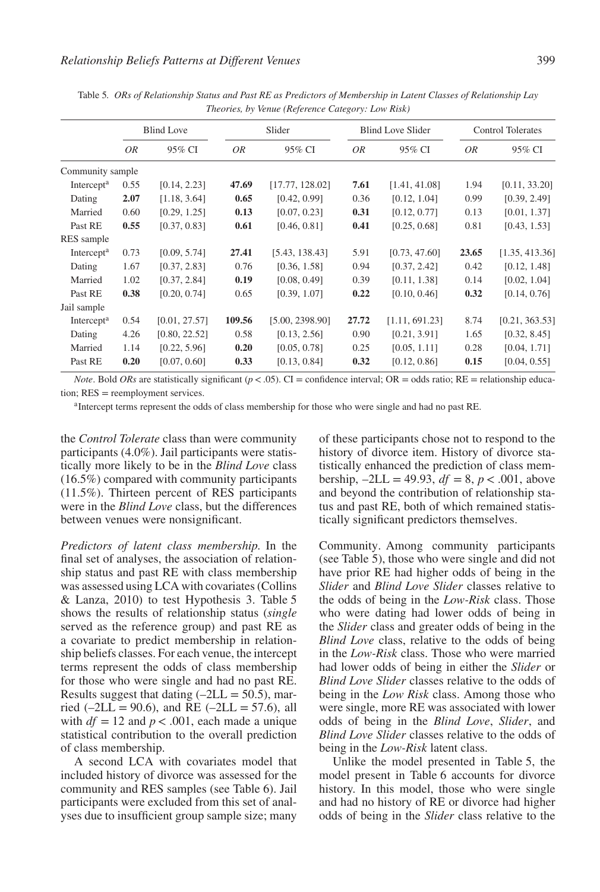|                        | <b>Blind Love</b> |               |           | Slider          |       | <b>Blind Love Slider</b> | <b>Control Tolerates</b> |                |
|------------------------|-------------------|---------------|-----------|-----------------|-------|--------------------------|--------------------------|----------------|
|                        | 0R                | 95% CI        | <i>OR</i> | 95% CI          | OR    | 95% CI                   | OR                       | 95% CI         |
| Community sample       |                   |               |           |                 |       |                          |                          |                |
| Intercept <sup>a</sup> | 0.55              | [0.14, 2.23]  | 47.69     | [17.77, 128.02] | 7.61  | [1.41, 41.08]            | 1.94                     | [0.11, 33.20]  |
| Dating                 | 2.07              | [1.18, 3.64]  | 0.65      | [0.42, 0.99]    | 0.36  | [0.12, 1.04]             | 0.99                     | [0.39, 2.49]   |
| Married                | 0.60              | [0.29, 1.25]  | 0.13      | [0.07, 0.23]    | 0.31  | [0.12, 0.77]             | 0.13                     | [0.01, 1.37]   |
| Past RE                | 0.55              | [0.37, 0.83]  | 0.61      | [0.46, 0.81]    | 0.41  | [0.25, 0.68]             | 0.81                     | [0.43, 1.53]   |
| RES sample             |                   |               |           |                 |       |                          |                          |                |
| Intercept <sup>a</sup> | 0.73              | [0.09, 5.74]  | 27.41     | [5.43, 138.43]  | 5.91  | [0.73, 47.60]            | 23.65                    | [1.35, 413.36] |
| Dating                 | 1.67              | [0.37, 2.83]  | 0.76      | [0.36, 1.58]    | 0.94  | [0.37, 2.42]             | 0.42                     | [0.12, 1.48]   |
| Married                | 1.02              | [0.37, 2.84]  | 0.19      | [0.08, 0.49]    | 0.39  | [0.11, 1.38]             | 0.14                     | [0.02, 1.04]   |
| Past RE                | 0.38              | [0.20, 0.74]  | 0.65      | [0.39, 1.07]    | 0.22  | [0.10, 0.46]             | 0.32                     | [0.14, 0.76]   |
| Jail sample            |                   |               |           |                 |       |                          |                          |                |
| Intercept <sup>a</sup> | 0.54              | [0.01, 27.57] | 109.56    | [5.00, 2398.90] | 27.72 | [1.11, 691.23]           | 8.74                     | [0.21, 363.53] |
| Dating                 | 4.26              | [0.80, 22.52] | 0.58      | [0.13, 2.56]    | 0.90  | [0.21, 3.91]             | 1.65                     | [0.32, 8.45]   |
| Married                | 1.14              | [0.22, 5.96]  | 0.20      | [0.05, 0.78]    | 0.25  | [0.05, 1.11]             | 0.28                     | [0.04, 1.71]   |
| Past RE                | 0.20              | [0.07, 0.60]  | 0.33      | [0.13, 0.84]    | 0.32  | [0.12, 0.86]             | 0.15                     | [0.04, 0.55]   |
|                        |                   |               |           |                 |       |                          |                          |                |

Table 5*. ORs of Relationship Status and Past RE as Predictors of Membership in Latent Classes of Relationship Lay Theories, by Venue (Reference Category: Low Risk)*

*Note*. Bold *ORs* are statistically significant ( $p < .05$ ). CI = confidence interval; OR = odds ratio; RE = relationship education; RES = reemployment services.

<sup>a</sup>Intercept terms represent the odds of class membership for those who were single and had no past RE.

the *Control Tolerate* class than were community participants (4.0%). Jail participants were statistically more likely to be in the *Blind Love* class (16.5%) compared with community participants (11.5%). Thirteen percent of RES participants were in the *Blind Love* class, but the differences between venues were nonsignificant.

*Predictors of latent class membership.* In the final set of analyses, the association of relationship status and past RE with class membership was assessed using LCA with covariates (Collins & Lanza, 2010) to test Hypothesis 3. Table 5 shows the results of relationship status (*single* served as the reference group) and past RE as a covariate to predict membership in relationship beliefs classes. For each venue, the intercept terms represent the odds of class membership for those who were single and had no past RE. Results suggest that dating  $(-2LL = 50.5)$ , married ( $-2LL = 90.6$ ), and RE ( $-2LL = 57.6$ ), all with  $df = 12$  and  $p < .001$ , each made a unique statistical contribution to the overall prediction of class membership.

A second LCA with covariates model that included history of divorce was assessed for the community and RES samples (see Table 6). Jail participants were excluded from this set of analyses due to insufficient group sample size; many of these participants chose not to respond to the history of divorce item. History of divorce statistically enhanced the prediction of class membership,  $-2LL = 49.93$ ,  $df = 8$ ,  $p < .001$ , above and beyond the contribution of relationship status and past RE, both of which remained statistically significant predictors themselves.

Community. Among community participants (see Table 5), those who were single and did not have prior RE had higher odds of being in the *Slider* and *Blind Love Slider* classes relative to the odds of being in the *Low-Risk* class. Those who were dating had lower odds of being in the *Slider* class and greater odds of being in the *Blind Love* class, relative to the odds of being in the *Low-Risk* class. Those who were married had lower odds of being in either the *Slider* or *Blind Love Slider* classes relative to the odds of being in the *Low Risk* class. Among those who were single, more RE was associated with lower odds of being in the *Blind Love*, *Slider*, and *Blind Love Slider* classes relative to the odds of being in the *Low-Risk* latent class.

Unlike the model presented in Table 5, the model present in Table 6 accounts for divorce history. In this model, those who were single and had no history of RE or divorce had higher odds of being in the *Slider* class relative to the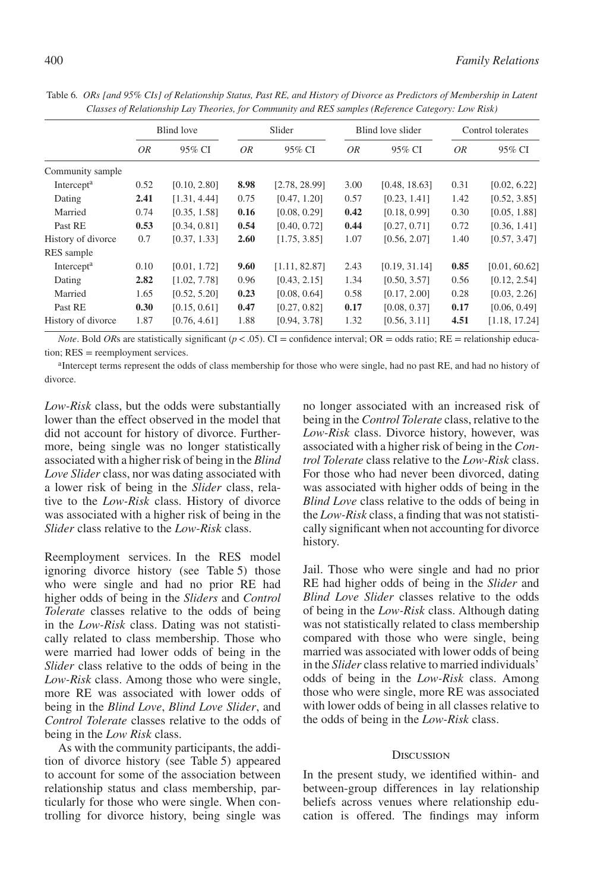|                        | Blind love |              |      | Slider        |      | Blind love slider | Control tolerates |               |  |
|------------------------|------------|--------------|------|---------------|------|-------------------|-------------------|---------------|--|
|                        | OR         | 95% CI       | 0R   | 95% CI        | OR   | 95% CI            | <i>OR</i>         | 95% CI        |  |
| Community sample       |            |              |      |               |      |                   |                   |               |  |
| Intercept <sup>a</sup> | 0.52       | [0.10, 2.80] | 8.98 | [2.78, 28.99] | 3.00 | [0.48, 18.63]     | 0.31              | [0.02, 6.22]  |  |
| Dating                 | 2.41       | [1.31, 4.44] | 0.75 | [0.47, 1.20]  | 0.57 | [0.23, 1.41]      | 1.42              | [0.52, 3.85]  |  |
| Married                | 0.74       | [0.35, 1.58] | 0.16 | [0.08, 0.29]  | 0.42 | [0.18, 0.99]      | 0.30              | [0.05, 1.88]  |  |
| Past RE                | 0.53       | [0.34, 0.81] | 0.54 | [0.40, 0.72]  | 0.44 | [0.27, 0.71]      | 0.72              | [0.36, 1.41]  |  |
| History of divorce     | 0.7        | [0.37, 1.33] | 2.60 | [1.75, 3.85]  | 1.07 | [0.56, 2.07]      | 1.40              | [0.57, 3.47]  |  |
| RES sample             |            |              |      |               |      |                   |                   |               |  |
| Intercept <sup>a</sup> | 0.10       | [0.01, 1.72] | 9.60 | [1.11, 82.87] | 2.43 | [0.19, 31.14]     | 0.85              | [0.01, 60.62] |  |
| Dating                 | 2.82       | [1.02, 7.78] | 0.96 | [0.43, 2.15]  | 1.34 | [0.50, 3.57]      | 0.56              | [0.12, 2.54]  |  |
| Married                | 1.65       | [0.52, 5.20] | 0.23 | [0.08, 0.64]  | 0.58 | [0.17, 2.00]      | 0.28              | [0.03, 2.26]  |  |
| Past RE                | 0.30       | [0.15, 0.61] | 0.47 | [0.27, 0.82]  | 0.17 | [0.08, 0.37]      | 0.17              | [0.06, 0.49]  |  |
| History of divorce     | 1.87       | [0.76, 4.61] | 1.88 | [0.94, 3.78]  | 1.32 | [0.56, 3.11]      | 4.51              | [1.18, 17.24] |  |

Table 6*. ORs [and 95% CIs] of Relationship Status, Past RE, and History of Divorce as Predictors of Membership in Latent Classes of Relationship Lay Theories, for Community and RES samples (Reference Category: Low Risk)*

*Note*. Bold *OR*s are statistically significant ( $p < .05$ ). CI = confidence interval; OR = odds ratio; RE = relationship education; RES = reemployment services.

<sup>a</sup>Intercept terms represent the odds of class membership for those who were single, had no past RE, and had no history of divorce.

*Low-Risk* class, but the odds were substantially lower than the effect observed in the model that did not account for history of divorce. Furthermore, being single was no longer statistically associated with a higher risk of being in the *Blind Love Slider* class, nor was dating associated with a lower risk of being in the *Slider* class, relative to the *Low-Risk* class. History of divorce was associated with a higher risk of being in the *Slider* class relative to the *Low-Risk* class.

Reemployment services. In the RES model ignoring divorce history (see Table 5) those who were single and had no prior RE had higher odds of being in the *Sliders* and *Control Tolerate* classes relative to the odds of being in the *Low-Risk* class. Dating was not statistically related to class membership. Those who were married had lower odds of being in the *Slider* class relative to the odds of being in the *Low-Risk* class. Among those who were single, more RE was associated with lower odds of being in the *Blind Love*, *Blind Love Slider*, and *Control Tolerate* classes relative to the odds of being in the *Low Risk* class.

As with the community participants, the addition of divorce history (see Table 5) appeared to account for some of the association between relationship status and class membership, particularly for those who were single. When controlling for divorce history, being single was no longer associated with an increased risk of being in the *Control Tolerate* class, relative to the *Low-Risk* class. Divorce history, however, was associated with a higher risk of being in the *Control Tolerate* class relative to the *Low-Risk* class. For those who had never been divorced, dating was associated with higher odds of being in the *Blind Love* class relative to the odds of being in the *Low-Risk* class, a finding that was not statistically significant when not accounting for divorce history.

Jail. Those who were single and had no prior RE had higher odds of being in the *Slider* and *Blind Love Slider* classes relative to the odds of being in the *Low-Risk* class. Although dating was not statistically related to class membership compared with those who were single, being married was associated with lower odds of being in the *Slider* class relative to married individuals' odds of being in the *Low-Risk* class. Among those who were single, more RE was associated with lower odds of being in all classes relative to the odds of being in the *Low-Risk* class.

#### **DISCUSSION**

In the present study, we identified within- and between-group differences in lay relationship beliefs across venues where relationship education is offered. The findings may inform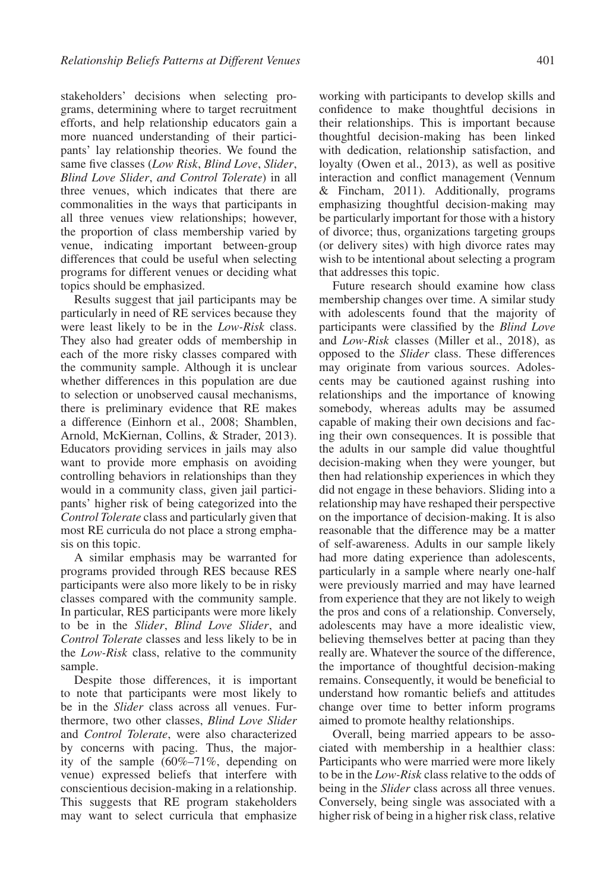stakeholders' decisions when selecting programs, determining where to target recruitment efforts, and help relationship educators gain a more nuanced understanding of their participants' lay relationship theories. We found the same five classes (*Low Risk*, *Blind Love*, *Slider*, *Blind Love Slider*, *and Control Tolerate*) in all three venues, which indicates that there are commonalities in the ways that participants in all three venues view relationships; however, the proportion of class membership varied by venue, indicating important between-group differences that could be useful when selecting programs for different venues or deciding what topics should be emphasized.

Results suggest that jail participants may be particularly in need of RE services because they were least likely to be in the *Low-Risk* class. They also had greater odds of membership in each of the more risky classes compared with the community sample. Although it is unclear whether differences in this population are due to selection or unobserved causal mechanisms, there is preliminary evidence that RE makes a difference (Einhorn et al., 2008; Shamblen, Arnold, McKiernan, Collins, & Strader, 2013). Educators providing services in jails may also want to provide more emphasis on avoiding controlling behaviors in relationships than they would in a community class, given jail participants' higher risk of being categorized into the *Control Tolerate* class and particularly given that most RE curricula do not place a strong emphasis on this topic.

A similar emphasis may be warranted for programs provided through RES because RES participants were also more likely to be in risky classes compared with the community sample. In particular, RES participants were more likely to be in the *Slider*, *Blind Love Slider*, and *Control Tolerate* classes and less likely to be in the *Low-Risk* class, relative to the community sample.

Despite those differences, it is important to note that participants were most likely to be in the *Slider* class across all venues. Furthermore, two other classes, *Blind Love Slider* and *Control Tolerate*, were also characterized by concerns with pacing. Thus, the majority of the sample (60%–71%, depending on venue) expressed beliefs that interfere with conscientious decision-making in a relationship. This suggests that RE program stakeholders may want to select curricula that emphasize

working with participants to develop skills and confidence to make thoughtful decisions in their relationships. This is important because thoughtful decision-making has been linked with dedication, relationship satisfaction, and loyalty (Owen et al., 2013), as well as positive interaction and conflict management (Vennum & Fincham, 2011). Additionally, programs emphasizing thoughtful decision-making may be particularly important for those with a history of divorce; thus, organizations targeting groups (or delivery sites) with high divorce rates may wish to be intentional about selecting a program that addresses this topic.

Future research should examine how class membership changes over time. A similar study with adolescents found that the majority of participants were classified by the *Blind Love* and *Low-Risk* classes (Miller et al., 2018), as opposed to the *Slider* class. These differences may originate from various sources. Adolescents may be cautioned against rushing into relationships and the importance of knowing somebody, whereas adults may be assumed capable of making their own decisions and facing their own consequences. It is possible that the adults in our sample did value thoughtful decision-making when they were younger, but then had relationship experiences in which they did not engage in these behaviors. Sliding into a relationship may have reshaped their perspective on the importance of decision-making. It is also reasonable that the difference may be a matter of self-awareness. Adults in our sample likely had more dating experience than adolescents, particularly in a sample where nearly one-half were previously married and may have learned from experience that they are not likely to weigh the pros and cons of a relationship. Conversely, adolescents may have a more idealistic view, believing themselves better at pacing than they really are. Whatever the source of the difference, the importance of thoughtful decision-making remains. Consequently, it would be beneficial to understand how romantic beliefs and attitudes change over time to better inform programs aimed to promote healthy relationships.

Overall, being married appears to be associated with membership in a healthier class: Participants who were married were more likely to be in the *Low-Risk* class relative to the odds of being in the *Slider* class across all three venues. Conversely, being single was associated with a higher risk of being in a higher risk class, relative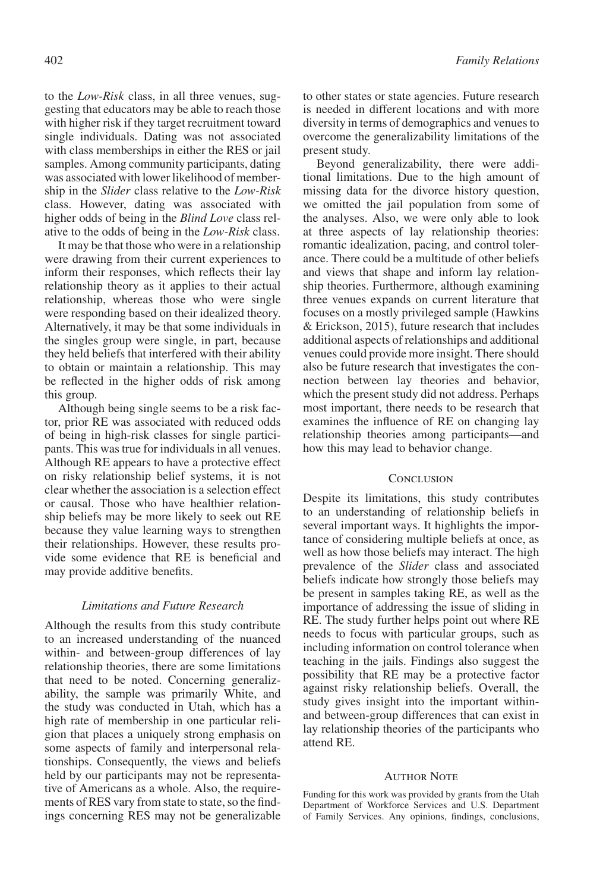to the *Low-Risk* class, in all three venues, suggesting that educators may be able to reach those with higher risk if they target recruitment toward single individuals. Dating was not associated with class memberships in either the RES or jail samples. Among community participants, dating was associated with lower likelihood of membership in the *Slider* class relative to the *Low-Risk* class. However, dating was associated with higher odds of being in the *Blind Love* class relative to the odds of being in the *Low-Risk* class.

It may be that those who were in a relationship were drawing from their current experiences to inform their responses, which reflects their lay relationship theory as it applies to their actual relationship, whereas those who were single were responding based on their idealized theory. Alternatively, it may be that some individuals in the singles group were single, in part, because they held beliefs that interfered with their ability to obtain or maintain a relationship. This may be reflected in the higher odds of risk among this group.

Although being single seems to be a risk factor, prior RE was associated with reduced odds of being in high-risk classes for single participants. This was true for individuals in all venues. Although RE appears to have a protective effect on risky relationship belief systems, it is not clear whether the association is a selection effect or causal. Those who have healthier relationship beliefs may be more likely to seek out RE because they value learning ways to strengthen their relationships. However, these results provide some evidence that RE is beneficial and may provide additive benefits.

# *Limitations and Future Research*

Although the results from this study contribute to an increased understanding of the nuanced within- and between-group differences of lay relationship theories, there are some limitations that need to be noted. Concerning generalizability, the sample was primarily White, and the study was conducted in Utah, which has a high rate of membership in one particular religion that places a uniquely strong emphasis on some aspects of family and interpersonal relationships. Consequently, the views and beliefs held by our participants may not be representative of Americans as a whole. Also, the requirements of RES vary from state to state, so the findings concerning RES may not be generalizable to other states or state agencies. Future research is needed in different locations and with more diversity in terms of demographics and venues to overcome the generalizability limitations of the present study.

Beyond generalizability, there were additional limitations. Due to the high amount of missing data for the divorce history question, we omitted the jail population from some of the analyses. Also, we were only able to look at three aspects of lay relationship theories: romantic idealization, pacing, and control tolerance. There could be a multitude of other beliefs and views that shape and inform lay relationship theories. Furthermore, although examining three venues expands on current literature that focuses on a mostly privileged sample (Hawkins & Erickson, 2015), future research that includes additional aspects of relationships and additional venues could provide more insight. There should also be future research that investigates the connection between lay theories and behavior, which the present study did not address. Perhaps most important, there needs to be research that examines the influence of RE on changing lay relationship theories among participants—and how this may lead to behavior change.

#### **CONCLUSION**

Despite its limitations, this study contributes to an understanding of relationship beliefs in several important ways. It highlights the importance of considering multiple beliefs at once, as well as how those beliefs may interact. The high prevalence of the *Slider* class and associated beliefs indicate how strongly those beliefs may be present in samples taking RE, as well as the importance of addressing the issue of sliding in RE. The study further helps point out where RE needs to focus with particular groups, such as including information on control tolerance when teaching in the jails. Findings also suggest the possibility that RE may be a protective factor against risky relationship beliefs. Overall, the study gives insight into the important withinand between-group differences that can exist in lay relationship theories of the participants who attend RE.

#### **AUTHOR NOTE**

Funding for this work was provided by grants from the Utah Department of Workforce Services and U.S. Department of Family Services. Any opinions, findings, conclusions,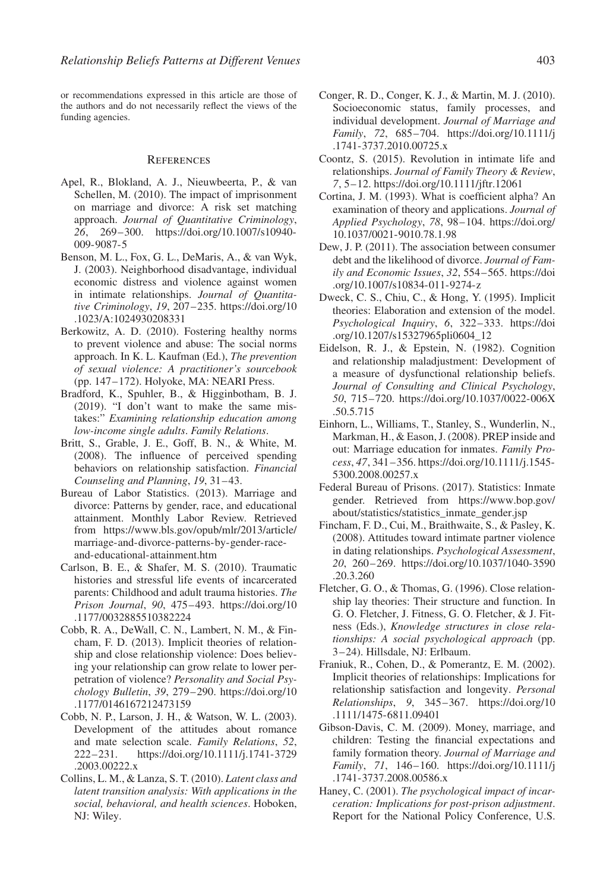or recommendations expressed in this article are those of the authors and do not necessarily reflect the views of the funding agencies.

#### **REFERENCES**

- Apel, R., Blokland, A. J., Nieuwbeerta, P., & van Schellen, M. (2010). The impact of imprisonment on marriage and divorce: A risk set matching approach. *Journal of Quantitative Criminology*, *26*, 269–300. [https://doi.org/10.1007/s10940-](https://doi.org/10.1007/s10940-009-9087-5) [009-9087-5](https://doi.org/10.1007/s10940-009-9087-5)
- Benson, M. L., Fox, G. L., DeMaris, A., & van Wyk, J. (2003). Neighborhood disadvantage, individual economic distress and violence against women in intimate relationships. *Journal of Quantitative Criminology*, *19*, 207–235. [https://doi.org/10](https://doi.org/10.1023/A:1024930208331) [.1023/A:1024930208331](https://doi.org/10.1023/A:1024930208331)
- Berkowitz, A. D. (2010). Fostering healthy norms to prevent violence and abuse: The social norms approach. In K. L. Kaufman (Ed.), *The prevention of sexual violence: A practitioner's sourcebook* (pp. 147–172). Holyoke, MA: NEARI Press.
- Bradford, K., Spuhler, B., & Higginbotham, B. J. (2019). "I don't want to make the same mistakes:" *Examining relationship education among low-income single adults*. *Family Relations*.
- Britt, S., Grable, J. E., Goff, B. N., & White, M. (2008). The influence of perceived spending behaviors on relationship satisfaction. *Financial Counseling and Planning*, *19*, 31–43.
- Bureau of Labor Statistics. (2013). Marriage and divorce: Patterns by gender, race, and educational attainment. Monthly Labor Review. Retrieved from [https://www.bls.gov/opub/mlr/2013/article/](https://www.bls.gov/opub/mlr/2013/article/marriage-and-divorce-patterns-by-gender-race-and-educational-attainment.htm) [marriage-and-divorce-patterns-by-gender-race](https://www.bls.gov/opub/mlr/2013/article/marriage-and-divorce-patterns-by-gender-race-and-educational-attainment.htm)[and-educational-attainment.htm](https://www.bls.gov/opub/mlr/2013/article/marriage-and-divorce-patterns-by-gender-race-and-educational-attainment.htm)
- Carlson, B. E., & Shafer, M. S. (2010). Traumatic histories and stressful life events of incarcerated parents: Childhood and adult trauma histories. *The Prison Journal*, *90*, 475–493. [https://doi.org/10](https://doi.org/10.1177/0032885510382224) [.1177/0032885510382224](https://doi.org/10.1177/0032885510382224)
- Cobb, R. A., DeWall, C. N., Lambert, N. M., & Fincham, F. D. (2013). Implicit theories of relationship and close relationship violence: Does believing your relationship can grow relate to lower perpetration of violence? *Personality and Social Psychology Bulletin*, *39*, 279–290. [https://doi.org/10](https://doi.org/10.1177/0146167212473159) [.1177/0146167212473159](https://doi.org/10.1177/0146167212473159)
- Cobb, N. P., Larson, J. H., & Watson, W. L. (2003). Development of the attitudes about romance and mate selection scale. *Family Relations*, *52*, 222–231. [https://doi.org/10.1111/j.1741-3729](https://doi.org/10.1111/j.1741-3729.2003.00222.x) [.2003.00222.x](https://doi.org/10.1111/j.1741-3729.2003.00222.x)
- Collins, L. M., & Lanza, S. T. (2010). *Latent class and latent transition analysis: With applications in the social, behavioral, and health sciences*. Hoboken, NJ: Wiley.
- Conger, R. D., Conger, K. J., & Martin, M. J. (2010). Socioeconomic status, family processes, and individual development. *Journal of Marriage and Family*, *72*, 685–704. [https://doi.org/10.1111/j](https://doi.org/10.1111/j.1741-3737.2010.00725.x) [.1741-3737.2010.00725.x](https://doi.org/10.1111/j.1741-3737.2010.00725.x)
- Coontz, S. (2015). Revolution in intimate life and relationships. *Journal of Family Theory & Review*, *7*, 5–12.<https://doi.org/10.1111/jftr.12061>
- Cortina, J. M. (1993). What is coefficient alpha? An examination of theory and applications. *Journal of Applied Psychology*, *78*, 98–104. [https://doi.org/](https://doi.org/10.1037/0021-9010.78.1.98) [10.1037/0021-9010.78.1.98](https://doi.org/10.1037/0021-9010.78.1.98)
- Dew, J. P. (2011). The association between consumer debt and the likelihood of divorce. *Journal of Family and Economic Issues*, *32*, 554–565. [https://doi](https://doi.org/10.1007/s10834-011-9274-z) [.org/10.1007/s10834-011-9274-z](https://doi.org/10.1007/s10834-011-9274-z)
- Dweck, C. S., Chiu, C., & Hong, Y. (1995). Implicit theories: Elaboration and extension of the model. *Psychological Inquiry*, *6*, 322–333. [https://doi](https://doi.org/10.1207/s15327965pli0604_12) [.org/10.1207/s15327965pli0604\\_12](https://doi.org/10.1207/s15327965pli0604_12)
- Eidelson, R. J., & Epstein, N. (1982). Cognition and relationship maladjustment: Development of a measure of dysfunctional relationship beliefs. *Journal of Consulting and Clinical Psychology*, *50*, 715–720. [https://doi.org/10.1037/0022-006X](https://doi.org/10.1037/0022-006X.50.5.715) [.50.5.715](https://doi.org/10.1037/0022-006X.50.5.715)
- Einhorn, L., Williams, T., Stanley, S., Wunderlin, N., Markman, H., & Eason, J. (2008). PREP inside and out: Marriage education for inmates. *Family Process*, *47*, 341–356. [https://doi.org/10.1111/j.1545-](https://doi.org/10.1111/j.1545-5300.2008.00257.x) [5300.2008.00257.x](https://doi.org/10.1111/j.1545-5300.2008.00257.x)
- Federal Bureau of Prisons. (2017). Statistics: Inmate gender. Retrieved from [https://www.bop.gov/](https://www.bop.gov/about/statistics/statistics_inmate_gender.jsp) [about/statistics/statistics\\_inmate\\_gender.jsp](https://www.bop.gov/about/statistics/statistics_inmate_gender.jsp)
- Fincham, F. D., Cui, M., Braithwaite, S., & Pasley, K. (2008). Attitudes toward intimate partner violence in dating relationships. *Psychological Assessment*, *20*, 260–269. [https://doi.org/10.1037/1040-3590](https://doi.org/10.1037/1040-3590.20.3.260) [.20.3.260](https://doi.org/10.1037/1040-3590.20.3.260)
- Fletcher, G. O., & Thomas, G. (1996). Close relationship lay theories: Their structure and function. In G. O. Fletcher, J. Fitness, G. O. Fletcher, & J. Fitness (Eds.), *Knowledge structures in close relationships: A social psychological approach* (pp. 3–24). Hillsdale, NJ: Erlbaum.
- Franiuk, R., Cohen, D., & Pomerantz, E. M. (2002). Implicit theories of relationships: Implications for relationship satisfaction and longevity. *Personal Relationships*, *9*, 345–367. [https://doi.org/10](https://doi.org/10.1111/1475-6811.09401) [.1111/1475-6811.09401](https://doi.org/10.1111/1475-6811.09401)
- Gibson-Davis, C. M. (2009). Money, marriage, and children: Testing the financial expectations and family formation theory. *Journal of Marriage and Family*, *71*, 146–160. [https://doi.org/10.1111/j](https://doi.org/10.1111/j.1741-3737.2008.00586.x) [.1741-3737.2008.00586.x](https://doi.org/10.1111/j.1741-3737.2008.00586.x)
- Haney, C. (2001). *The psychological impact of incarceration: Implications for post-prison adjustment*. Report for the National Policy Conference, U.S.